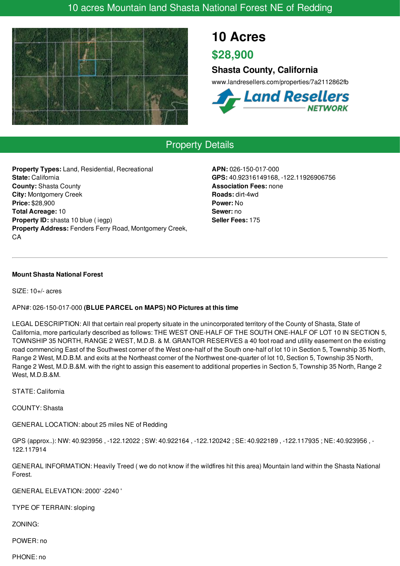## 10 acres Mountain land Shasta National Forest NE of Redding



# **10 Acres**

**\$28,900**

### **Shasta County, California**

www.landresellers.com/properties/7a2112862fb



## Property Details

**Property Types:** Land, Residential, Recreational **State:** California **County:** Shasta County **City:** Montgomery Creek **Price:** \$28,900 **Total Acreage:** 10 **Property ID:** shasta 10 blue ( iegp) **Property Address:** Fenders Ferry Road, Montgomery Creek, CA

**APN:** 026-150-017-000 **GPS:** 40.92316149168, -122.11926906756 **Association Fees:** none **Roads:** dirt-4wd **Power:** No **Sewer:** no **Seller Fees:** 175

#### **Mount Shasta National Forest**

SIZE: 10+/- acres

### APN#: 026-150-017-000 **(BLUE PARCEL on MAPS) NO Pictures at this time**

LEGAL DESCRIPTION: All that certain real property situate in the unincorporated territory of the County of Shasta, State of California, more particularly described as follows: THE WEST ONE-HALF OF THE SOUTH ONE-HALF OF LOT 10 IN SECTION 5, TOWNSHIP 35 NORTH, RANGE 2 WEST, M.D.B. & M. GRANTOR RESERVES a 40 foot road and utility easement on the existing road commencing East of the Southwest corner of the West one-half of the South one-half of lot 10 in Section 5, Township 35 North, Range 2 West, M.D.B.M. and exits at the Northeast corner of the Northwest one-quarter of lot 10, Section 5, Township 35 North, Range 2 West, M.D.B.&M. with the right to assign this easement to additional properties in Section 5, Township 35 North, Range 2 West, M.D.B.&M.

### STATE: California

COUNTY: Shasta

GENERAL LOCATION: about 25 miles NE of Redding

GPS (approx..): NW: 40.923956 , -122.12022 ; SW: 40.922164 , -122.120242 ; SE: 40.922189 , -122.117935 ; NE: 40.923956 , - 122.117914

GENERAL INFORMATION: Heavily Treed ( we do not know if the wildfires hit this area) Mountain land within the Shasta National Forest.

GENERAL ELEVATION: 2000' -2240 '

TYPE OF TERRAIN: sloping

ZONING:

POWER: no

PHONE: no